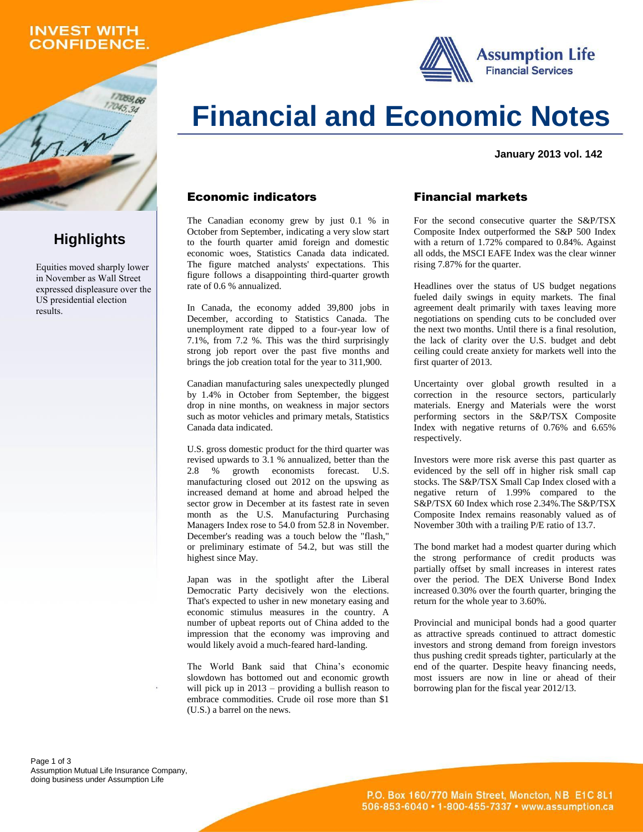### **INVEST WITH CONFIDENCE.**

059.66



# **Financial and Economic Notes**

**January 2013 vol. 142**

### Economic indicators

The Canadian economy grew by just 0.1 % in October from September, indicating a very slow start to the fourth quarter amid foreign and domestic economic woes, Statistics Canada data indicated. The figure matched analysts' expectations. This figure follows a disappointing third-quarter growth rate of 0.6 % annualized.

In Canada, the economy added 39,800 jobs in December, according to Statistics Canada. The unemployment rate dipped to a four-year low of 7.1%, from 7.2 %. This was the third surprisingly strong job report over the past five months and brings the job creation total for the year to 311,900.

Canadian manufacturing sales unexpectedly plunged by 1.4% in October from September, the biggest drop in nine months, on weakness in major sectors such as motor vehicles and primary metals, Statistics Canada data indicated.

U.S. gross domestic product for the third quarter was revised upwards to 3.1 % annualized, better than the 2.8 % growth economists forecast. U.S. manufacturing closed out 2012 on the upswing as increased demand at home and abroad helped the sector grow in December at its fastest rate in seven month as the U.S. Manufacturing Purchasing Managers Index rose to 54.0 from 52.8 in November. December's reading was a touch below the "flash," or preliminary estimate of 54.2, but was still the highest since May.

Japan was in the spotlight after the Liberal Democratic Party decisively won the elections. That's expected to usher in new monetary easing and economic stimulus measures in the country. A number of upbeat reports out of China added to the impression that the economy was improving and would likely avoid a much-feared hard-landing.

The World Bank said that China's economic slowdown has bottomed out and economic growth will pick up in 2013 – providing a bullish reason to embrace commodities. Crude oil rose more than \$1 (U.S.) a barrel on the news.

### Financial markets

For the second consecutive quarter the S&P/TSX Composite Index outperformed the S&P 500 Index with a return of 1.72% compared to 0.84%. Against all odds, the MSCI EAFE Index was the clear winner rising 7.87% for the quarter.

Headlines over the status of US budget negations fueled daily swings in equity markets. The final agreement dealt primarily with taxes leaving more negotiations on spending cuts to be concluded over the next two months. Until there is a final resolution, the lack of clarity over the U.S. budget and debt ceiling could create anxiety for markets well into the first quarter of 2013.

Uncertainty over global growth resulted in a correction in the resource sectors, particularly materials. Energy and Materials were the worst performing sectors in the S&P/TSX Composite Index with negative returns of 0.76% and 6.65% respectively.

Investors were more risk averse this past quarter as evidenced by the sell off in higher risk small cap stocks. The S&P/TSX Small Cap Index closed with a negative return of 1.99% compared to the S&P/TSX 60 Index which rose 2.34%.The S&P/TSX Composite Index remains reasonably valued as of November 30th with a trailing P/E ratio of 13.7.

The bond market had a modest quarter during which the strong performance of credit products was partially offset by small increases in interest rates over the period. The DEX Universe Bond Index increased 0.30% over the fourth quarter, bringing the return for the whole year to 3.60%.

Provincial and municipal bonds had a good quarter as attractive spreads continued to attract domestic investors and strong demand from foreign investors thus pushing credit spreads tighter, particularly at the end of the quarter. Despite heavy financing needs, most issuers are now in line or ahead of their borrowing plan for the fiscal year 2012/13.

## **Highlights**

Equities moved sharply lower in November as Wall Street expressed displeasure over the US presidential election results.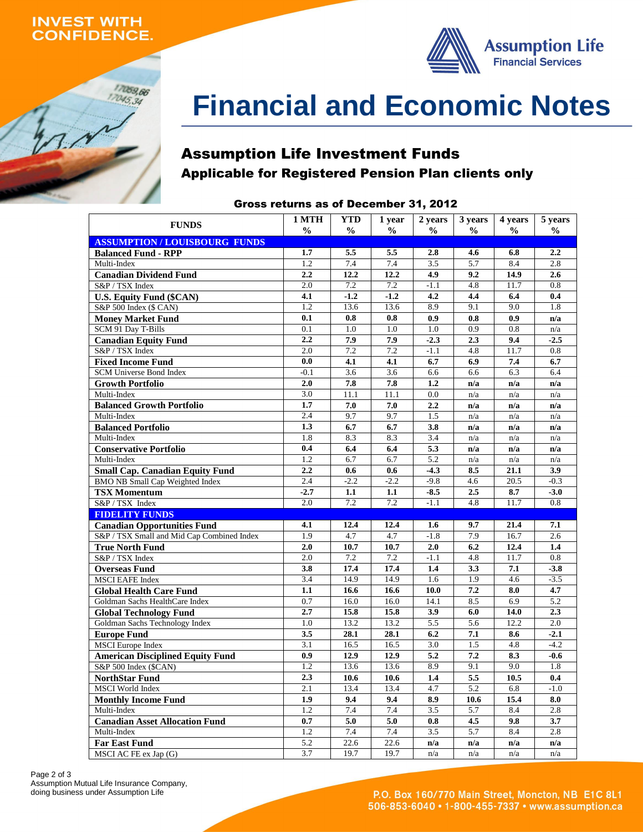### **INVEST WITH ONFIDENCE.**

17059,66  $17045,34$ 



# **Financial and Economic Notes**

### Assumption Life Investment Funds Applicable for Registered Pension Plan clients only

### Gross returns as of December 31, 2012

| <b>FUNDS</b>                                     | 1 MTH                   | <b>YTD</b>       | 1 year        | 2 years                 | 3 years          | 4 years          | 5 years          |
|--------------------------------------------------|-------------------------|------------------|---------------|-------------------------|------------------|------------------|------------------|
| <b>ASSUMPTION/LOUISBOURG FUNDS</b>               | $\frac{0}{0}$           | $\frac{0}{0}$    | $\frac{0}{0}$ | $\frac{1}{2}$           | $\frac{0}{0}$    | $\frac{0}{0}$    | $\frac{1}{2}$    |
| <b>Balanced Fund - RPP</b>                       | 1.7                     | 5.5              | 5.5           | 2.8                     | 4.6              | 6.8              | 2.2              |
| Multi-Index                                      | 1.2                     | 7.4              | 7.4           | 3.5                     | 5.7              | 8.4              | 2.8              |
| <b>Canadian Dividend Fund</b>                    | 2.2                     | 12.2             | 12.2          | 4.9                     | 9.2              | 14.9             | 2.6              |
| S&P / TSX Index                                  | 2.0                     | 7.2              | 7.2           | $-1.1$                  | 4.8              | 11.7             | 0.8              |
| <b>U.S. Equity Fund (\$CAN)</b>                  | 4.1                     | $-1.2$           | $-1.2$        | 4.2                     | 4.4              | 6.4              | 0.4              |
| S&P 500 Index (\$ CAN)                           | $\overline{1.2}$        | 13.6             | 13.6          | 8.9                     | 9.1              | 9.0              | 1.8              |
| <b>Money Market Fund</b>                         | 0.1                     | 0.8              | 0.8           | 0.9                     | 0.8              | 0.9              | n/a              |
| SCM 91 Day T-Bills                               | $\overline{0.1}$        | $\overline{1.0}$ | 1.0           | 1.0                     | $\overline{0.9}$ | $\overline{0.8}$ | n/a              |
| <b>Canadian Equity Fund</b>                      | 2.2                     | 7.9              | 7.9           | $-2.3$                  | 2.3              | 9.4              | $-2.5$           |
| S&P / TSX Index                                  | 2.0                     | 7.2              | 7.2           | $-1.1$                  | 4.8              | 11.7             | 0.8              |
| <b>Fixed Income Fund</b>                         | 0.0                     | 4.1              | 4.1           | 6.7                     | 6.9              | 7.4              | 6.7              |
| SCM Universe Bond Index                          | $-0.1$                  | 3.6              | 3.6           | 6.6                     | 6.6              | 6.3              | 6.4              |
| <b>Growth Portfolio</b>                          | 2.0                     | 7.8              | 7.8           | 1.2                     | n/a              | n/a              | n/a              |
| Multi-Index                                      | 3.0                     | 11.1             | 11.1          | 0.0                     | n/a              | n/a              | n/a              |
| <b>Balanced Growth Portfolio</b>                 | 1.7                     | 7.0              | 7.0           | 2.2                     | n/a              | n/a              | n/a              |
| Multi-Index                                      | 2.4                     | 9.7              | 9.7           | 1.5                     | n/a              | n/a              | n/a              |
| <b>Balanced Portfolio</b>                        | 1.3                     | 6.7              | 6.7           | 3.8                     | n/a              | n/a              | n/a              |
| Multi-Index                                      | 1.8                     | 8.3              | 8.3           | 3.4                     | n/a              | n/a              | n/a              |
| <b>Conservative Portfolio</b>                    | 0.4                     | 6.4              | 6.4           | 5.3                     | n/a              | n/a              | n/a              |
| Multi-Index                                      | 1.2                     | 6.7              | 6.7           | 5.2                     | n/a              | n/a              | n/a              |
| <b>Small Cap. Canadian Equity Fund</b>           | 2.2                     | 0.6              | 0.6           | $-4.3$                  | 8.5              | 21.1             | 3.9              |
| <b>BMO NB Small Cap Weighted Index</b>           | 2.4                     | $-2.2$           | $-2.2$        | $-9.8$                  | 4.6              | 20.5             | $-0.3$           |
| <b>TSX Momentum</b>                              | $-2.7$                  | 1.1              | 1.1           | $-8.5$                  | 2.5              | 8.7              | $-3.0$           |
| S&P / TSX Index                                  | 2.0                     | 7.2              | 7.2           | $-1.1$                  | 4.8              | 11.7             | 0.8              |
| <b>FIDELITY FUNDS</b>                            |                         |                  |               |                         |                  |                  |                  |
| <b>Canadian Opportunities Fund</b>               | 4.1                     | 12.4             | 12.4          | 1.6                     | 9.7              | 21.4             | 7.1              |
| S&P / TSX Small and Mid Cap Combined Index       | 1.9                     | 4.7              | 4.7           | $-1.8$                  | 7.9              | 16.7             | 2.6              |
| <b>True North Fund</b>                           | 2.0                     | 10.7             | 10.7          | 2.0                     | 6.2              | 12.4             | 1.4              |
| S&P / TSX Index                                  | $\overline{2.0}$        | 7.2              | 7.2           | $-1.1$                  | 4.8              | 11.7             | $\overline{0.8}$ |
| <b>Overseas Fund</b>                             | 3.8                     | 17.4             | 17.4          | 1.4                     | 3.3              | 7.1              | $-3.8$           |
| <b>MSCI EAFE Index</b>                           | 3.4                     | 14.9             | 14.9          | 1.6                     | 1.9              | 4.6              | $-3.5$           |
| <b>Global Health Care Fund</b>                   | 1.1                     | 16.6             | 16.6          | 10.0                    | 7.2              | 8.0              | 4.7              |
| Goldman Sachs HealthCare Index                   | 0.7                     | 16.0             | 16.0          | 14.1                    | 8.5              | 6.9              | 5.2              |
| <b>Global Technology Fund</b>                    | 2.7                     | 15.8             | 15.8          | 3.9                     | 6.0              | 14.0             | 2.3              |
| Goldman Sachs Technology Index                   | 1.0                     | 13.2             | 13.2          | 5.5                     | 5.6              | 12.2             | 2.0              |
| <b>Europe Fund</b>                               | 3.5<br>$\overline{3.1}$ | 28.1<br>16.5     | 28.1<br>16.5  | 6.2<br>$\overline{3.0}$ | 7.1<br>1.5       | 8.6<br>4.8       | $-2.1$<br>$-4.2$ |
| <b>MSCI</b> Europe Index                         | 0.9                     | 12.9             | 12.9          | 5.2                     | 7.2              |                  |                  |
| <b>American Disciplined Equity Fund</b>          | 1.2                     | 13.6             | 13.6          | 8.9                     | 9.1              | 8.3<br>9.0       | $-0.6$<br>1.8    |
| S&P 500 Index (\$CAN)                            | 2.3                     |                  |               | 1.4                     |                  | 10.5             | 0.4              |
| <b>NorthStar Fund</b><br><b>MSCI</b> World Index | 2.1                     | 10.6<br>13.4     | 10.6<br>13.4  | 4.7                     | 5.5<br>5.2       | 6.8              | $-1.0$           |
| <b>Monthly Income Fund</b>                       | 1.9                     | 9.4              | 9.4           | 8.9                     | 10.6             | 15.4             | 8.0              |
| Multi-Index                                      | 1.2                     | 7.4              | 7.4           | 3.5                     | 5.7              | 8.4              | 2.8              |
| <b>Canadian Asset Allocation Fund</b>            | 0.7                     | 5.0              | 5.0           | 0.8                     | 4.5              | 9.8              | 3.7              |
| Multi-Index                                      | 1.2                     | 7.4              | 7.4           | 3.5                     | 5.7              | 8.4              | 2.8              |
| <b>Far East Fund</b>                             | 5.2                     | 22.6             | 22.6          | n/a                     | n/a              | n/a              | n/a              |
| MSCI AC FE ex Jap (G)                            | 3.7                     | 19.7             | 19.7          | n/a                     | n/a              | n/a              | n/a              |